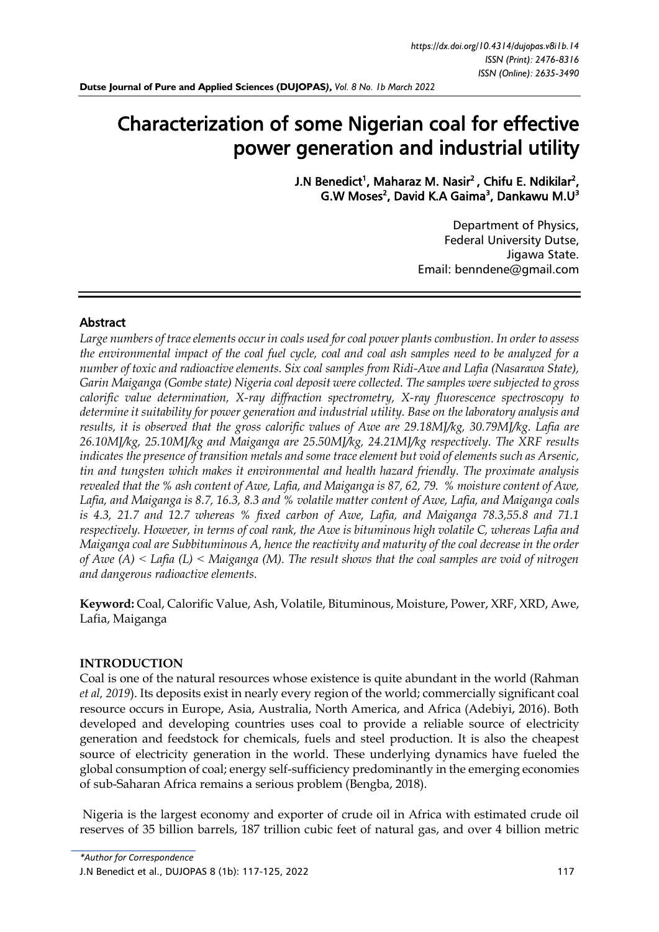# Characterization of some Nigerian coal for effective power generation and industrial utility

J.N Benedict<sup>1</sup>, Maharaz M. Nasir<sup>2</sup>, Chifu E. Ndikilar<sup>2</sup>, G.W Moses<sup>2</sup>, David K.A Gaima<sup>3</sup>, Dankawu M.U<sup>3</sup>

> Department of Physics, Federal University Dutse, Jigawa State. Email: [benndene@gmail.com](mailto:benndene@gmail.com)

# Abstract

*Large numbers of trace elements occur in coals used for coal power plants combustion. In order to assess the environmental impact of the coal fuel cycle, coal and coal ash samples need to be analyzed for a number of toxic and radioactive elements. Six coal samples from Ridi-Awe and Lafia (Nasarawa State), Garin Maiganga (Gombe state) Nigeria coal deposit were collected. The samples were subjected to gross calorific value determination, X-ray diffraction spectrometry, X-ray fluorescence spectroscopy to determine it suitability for power generation and industrial utility. Base on the laboratory analysis and results, it is observed that the gross calorific values of Awe are 29.18MJ/kg, 30.79MJ/kg. Lafia are 26.10MJ/kg, 25.10MJ/kg and Maiganga are 25.50MJ/kg, 24.21MJ/kg respectively. The XRF results indicates the presence of transition metals and some trace element but void of elements such as Arsenic, tin and tungsten which makes it environmental and health hazard friendly. The proximate analysis revealed that the % ash content of Awe, Lafia, and Maiganga is 87, 62, 79. % moisture content of Awe, Lafia, and Maiganga is 8.7, 16.3, 8.3 and % volatile matter content of Awe, Lafia, and Maiganga coals is 4.3, 21.7 and 12.7 whereas % fixed carbon of Awe, Lafia, and Maiganga 78.3,55.8 and 71.1 respectively. However, in terms of coal rank, the Awe is bituminous high volatile C, whereas Lafia and Maiganga coal are Subbituminous A, hence the reactivity and maturity of the coal decrease in the order of Awe (A) ˂ Lafia (L) ˂ Maiganga (M). The result shows that the coal samples are void of nitrogen and dangerous radioactive elements.* 

**Keyword:** Coal, Calorific Value, Ash, Volatile, Bituminous, Moisture, Power, XRF, XRD, Awe, Lafia, Maiganga

### **INTRODUCTION**

Coal is one of the natural resources whose existence is quite abundant in the world (Rahman *et al, 2019*). Its deposits exist in nearly every region of the world; commercially significant coal resource occurs in Europe, Asia, Australia, North America, and Africa (Adebiyi, 2016). Both developed and developing countries uses coal to provide a reliable source of electricity generation and feedstock for chemicals, fuels and steel production. It is also the cheapest source of electricity generation in the world. These underlying dynamics have fueled the global consumption of coal; energy self-sufficiency predominantly in the emerging economies of sub-Saharan Africa remains a serious problem (Bengba, 2018).

Nigeria is the largest economy and exporter of crude oil in Africa with estimated crude oil reserves of 35 billion barrels, 187 trillion cubic feet of natural gas, and over 4 billion metric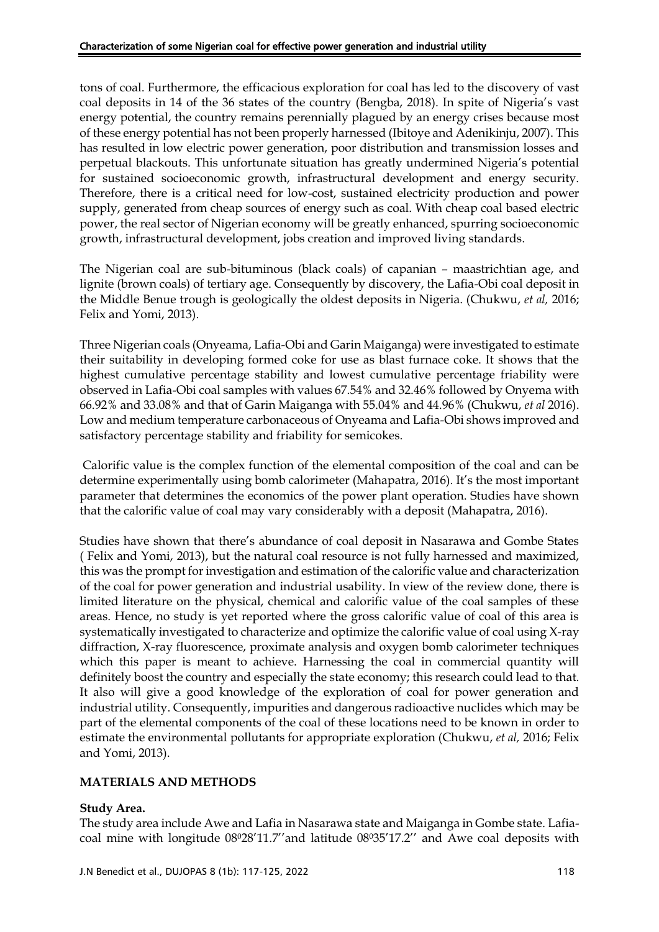tons of coal. Furthermore, the efficacious exploration for coal has led to the discovery of vast coal deposits in 14 of the 36 states of the country (Bengba, 2018). In spite of Nigeria's vast energy potential, the country remains perennially plagued by an energy crises because most of these energy potential has not been properly harnessed (Ibitoye and Adenikinju, 2007). This has resulted in low electric power generation, poor distribution and transmission losses and perpetual blackouts. This unfortunate situation has greatly undermined Nigeria's potential for sustained socioeconomic growth, infrastructural development and energy security. Therefore, there is a critical need for low-cost, sustained electricity production and power supply, generated from cheap sources of energy such as coal. With cheap coal based electric power, the real sector of Nigerian economy will be greatly enhanced, spurring socioeconomic growth, infrastructural development, jobs creation and improved living standards.

The Nigerian coal are sub-bituminous (black coals) of capanian – maastrichtian age, and lignite (brown coals) of tertiary age. Consequently by discovery, the Lafia-Obi coal deposit in the Middle Benue trough is geologically the oldest deposits in Nigeria. (Chukwu, *et al,* 2016; Felix and Yomi, 2013).

Three Nigerian coals (Onyeama, Lafia-Obi and Garin Maiganga) were investigated to estimate their suitability in developing formed coke for use as blast furnace coke. It shows that the highest cumulative percentage stability and lowest cumulative percentage friability were observed in Lafia-Obi coal samples with values 67.54% and 32.46% followed by Onyema with 66.92% and 33.08% and that of Garin Maiganga with 55.04% and 44.96% (Chukwu, *et al* 2016). Low and medium temperature carbonaceous of Onyeama and Lafia-Obi shows improved and satisfactory percentage stability and friability for semicokes.

Calorific value is the complex function of the elemental composition of the coal and can be determine experimentally using bomb calorimeter (Mahapatra, 2016). It's the most important parameter that determines the economics of the power plant operation. Studies have shown that the calorific value of coal may vary considerably with a deposit (Mahapatra, 2016).

Studies have shown that there's abundance of coal deposit in Nasarawa and Gombe States ( Felix and Yomi, 2013), but the natural coal resource is not fully harnessed and maximized, this was the prompt for investigation and estimation of the calorific value and characterization of the coal for power generation and industrial usability. In view of the review done, there is limited literature on the physical, chemical and calorific value of the coal samples of these areas. Hence, no study is yet reported where the gross calorific value of coal of this area is systematically investigated to characterize and optimize the calorific value of coal using X-ray diffraction, X-ray fluorescence, proximate analysis and oxygen bomb calorimeter techniques which this paper is meant to achieve. Harnessing the coal in commercial quantity will definitely boost the country and especially the state economy; this research could lead to that. It also will give a good knowledge of the exploration of coal for power generation and industrial utility. Consequently, impurities and dangerous radioactive nuclides which may be part of the elemental components of the coal of these locations need to be known in order to estimate the environmental pollutants for appropriate exploration (Chukwu, *et al,* 2016; Felix and Yomi, 2013).

# **MATERIALS AND METHODS**

### **Study Area.**

The study area include Awe and Lafia in Nasarawa state and Maiganga in Gombe state. Lafiacoal mine with longitude 08028'11.7" and latitude 08035'17.2" and Awe coal deposits with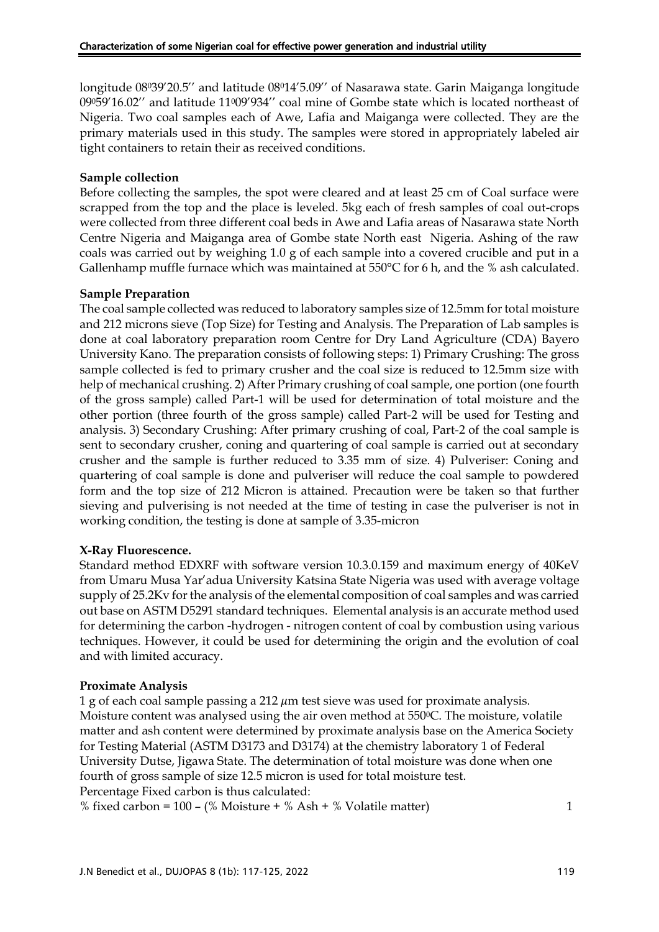longitude 08039'20.5" and latitude 08014'5.09" of Nasarawa state. Garin Maiganga longitude 09059'16.02'' and latitude 11009'934'' coal mine of Gombe state which is located northeast of Nigeria. Two coal samples each of Awe, Lafia and Maiganga were collected. They are the primary materials used in this study. The samples were stored in appropriately labeled air tight containers to retain their as received conditions.

### **Sample collection**

Before collecting the samples, the spot were cleared and at least 25 cm of Coal surface were scrapped from the top and the place is leveled. 5kg each of fresh samples of coal out-crops were collected from three different coal beds in Awe and Lafia areas of Nasarawa state North Centre Nigeria and Maiganga area of Gombe state North east Nigeria. Ashing of the raw coals was carried out by weighing 1.0 g of each sample into a covered crucible and put in a Gallenhamp muffle furnace which was maintained at 550°C for 6 h, and the % ash calculated.

#### **Sample Preparation**

The coal sample collected was reduced to laboratory samples size of 12.5mm for total moisture and 212 microns sieve (Top Size) for Testing and Analysis. The Preparation of Lab samples is done at coal laboratory preparation room Centre for Dry Land Agriculture (CDA) Bayero University Kano. The preparation consists of following steps: 1) Primary Crushing: The gross sample collected is fed to primary crusher and the coal size is reduced to 12.5mm size with help of mechanical crushing. 2) After Primary crushing of coal sample, one portion (one fourth of the gross sample) called Part-1 will be used for determination of total moisture and the other portion (three fourth of the gross sample) called Part-2 will be used for Testing and analysis. 3) Secondary Crushing: After primary crushing of coal, Part-2 of the coal sample is sent to secondary crusher, coning and quartering of coal sample is carried out at secondary crusher and the sample is further reduced to 3.35 mm of size. 4) Pulveriser: Coning and quartering of coal sample is done and pulveriser will reduce the coal sample to powdered form and the top size of 212 Micron is attained. Precaution were be taken so that further sieving and pulverising is not needed at the time of testing in case the pulveriser is not in working condition, the testing is done at sample of 3.35-micron

### **X-Ray Fluorescence.**

Standard method EDXRF with software version 10.3.0.159 and maximum energy of 40KeV from Umaru Musa Yar'adua University Katsina State Nigeria was used with average voltage supply of 25.2Kv for the analysis of the elemental composition of coal samples and was carried out base on ASTM D5291 standard techniques. Elemental analysis is an accurate method used for determining the carbon -hydrogen - nitrogen content of coal by combustion using various techniques. However, it could be used for determining the origin and the evolution of coal and with limited accuracy.

#### **Proximate Analysis**

1 g of each coal sample passing a 212  $\mu$ m test sieve was used for proximate analysis. Moisture content was analysed using the air oven method at 550°C. The moisture, volatile matter and ash content were determined by proximate analysis base on the America Society for Testing Material (ASTM D3173 and D3174) at the chemistry laboratory 1 of Federal University Dutse, Jigawa State. The determination of total moisture was done when one fourth of gross sample of size 12.5 micron is used for total moisture test. Percentage Fixed carbon is thus calculated:

% fixed carbon =  $100 - (\% \text{ Moisture} + \% \text{ Ash} + \% \text{ Volatile matter})$  1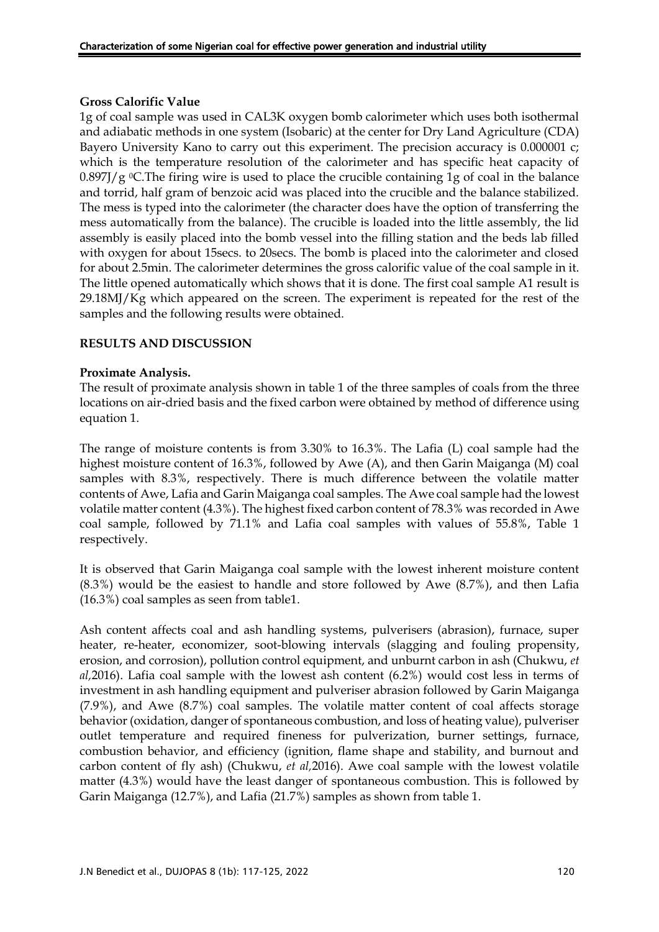### **Gross Calorific Value**

1g of coal sample was used in CAL3K oxygen bomb calorimeter which uses both isothermal and adiabatic methods in one system (Isobaric) at the center for Dry Land Agriculture (CDA) Bayero University Kano to carry out this experiment. The precision accuracy is 0.000001 c; which is the temperature resolution of the calorimeter and has specific heat capacity of  $0.897$ ]/g <sup>o</sup>C.The firing wire is used to place the crucible containing 1g of coal in the balance and torrid, half gram of benzoic acid was placed into the crucible and the balance stabilized. The mess is typed into the calorimeter (the character does have the option of transferring the mess automatically from the balance). The crucible is loaded into the little assembly, the lid assembly is easily placed into the bomb vessel into the filling station and the beds lab filled with oxygen for about 15secs. to 20secs. The bomb is placed into the calorimeter and closed for about 2.5min. The calorimeter determines the gross calorific value of the coal sample in it. The little opened automatically which shows that it is done. The first coal sample A1 result is 29.18MJ/Kg which appeared on the screen. The experiment is repeated for the rest of the samples and the following results were obtained.

### **RESULTS AND DISCUSSION**

### **Proximate Analysis.**

The result of proximate analysis shown in table 1 of the three samples of coals from the three locations on air-dried basis and the fixed carbon were obtained by method of difference using equation 1.

The range of moisture contents is from 3.30% to 16.3%. The Lafia (L) coal sample had the highest moisture content of 16.3%, followed by Awe (A), and then Garin Maiganga (M) coal samples with 8.3%, respectively. There is much difference between the volatile matter contents of Awe, Lafia and Garin Maiganga coal samples. The Awe coal sample had the lowest volatile matter content (4.3%). The highest fixed carbon content of 78.3% was recorded in Awe coal sample, followed by 71.1% and Lafia coal samples with values of 55.8%, Table 1 respectively.

It is observed that Garin Maiganga coal sample with the lowest inherent moisture content (8.3%) would be the easiest to handle and store followed by Awe (8.7%), and then Lafia (16.3%) coal samples as seen from table1.

Ash content affects coal and ash handling systems, pulverisers (abrasion), furnace, super heater, re-heater, economizer, soot-blowing intervals (slagging and fouling propensity, erosion, and corrosion), pollution control equipment, and unburnt carbon in ash (Chukwu, *et al,*2016). Lafia coal sample with the lowest ash content (6.2%) would cost less in terms of investment in ash handling equipment and pulveriser abrasion followed by Garin Maiganga (7.9%), and Awe (8.7%) coal samples. The volatile matter content of coal affects storage behavior (oxidation, danger of spontaneous combustion, and loss of heating value), pulveriser outlet temperature and required fineness for pulverization, burner settings, furnace, combustion behavior, and efficiency (ignition, flame shape and stability, and burnout and carbon content of fly ash) (Chukwu, *et al,*2016). Awe coal sample with the lowest volatile matter (4.3%) would have the least danger of spontaneous combustion. This is followed by Garin Maiganga (12.7%), and Lafia (21.7%) samples as shown from table 1.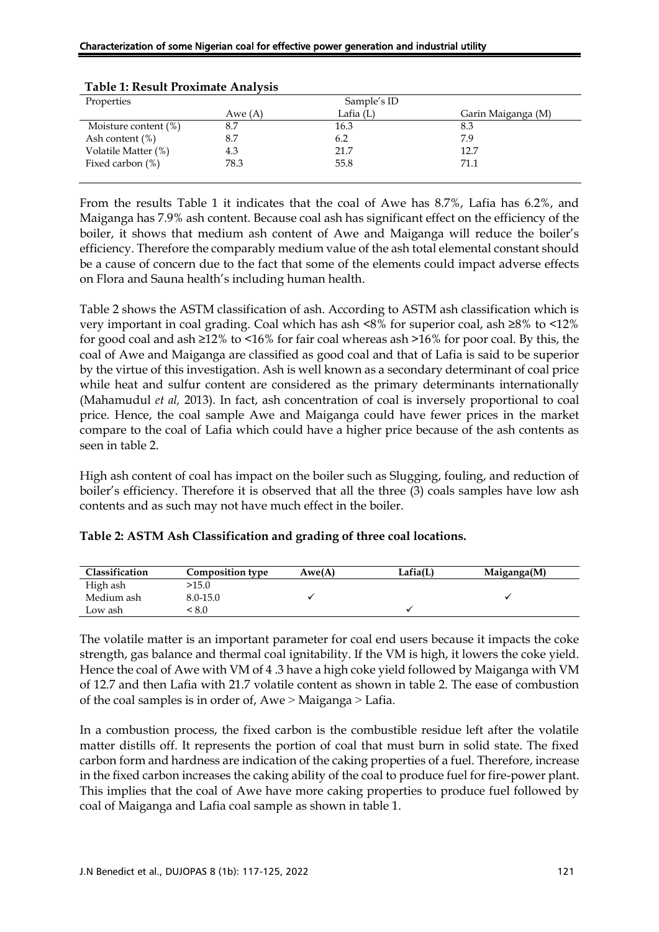| Properties              | Sample's ID |           |                    |  |  |
|-------------------------|-------------|-----------|--------------------|--|--|
|                         | Awe $(A)$   | Lafia (L) | Garin Maiganga (M) |  |  |
| Moisture content $(\%)$ | 8.7         | 16.3      | 8.3                |  |  |
| Ash content $(\%)$      | 8.7         | 6.2       | 7.9                |  |  |
| Volatile Matter (%)     | 4.3         | 21.7      | 12.7               |  |  |
| Fixed carbon $(\%)$     | 78.3        | 55.8      | 71.1               |  |  |
|                         |             |           |                    |  |  |

### **Table 1: Result Proximate Analysis**

From the results Table 1 it indicates that the coal of Awe has 8.7%, Lafia has 6.2%, and Maiganga has 7.9% ash content. Because coal ash has significant effect on the efficiency of the boiler, it shows that medium ash content of Awe and Maiganga will reduce the boiler's efficiency. Therefore the comparably medium value of the ash total elemental constant should be a cause of concern due to the fact that some of the elements could impact adverse effects on Flora and Sauna health's including human health.

Table 2 shows the ASTM classification of ash. According to ASTM ash classification which is very important in coal grading. Coal which has ash <8% for superior coal, ash ≥8% to <12% for good coal and ash  $\geq 12\%$  to  $\leq 16\%$  for fair coal whereas ash  $\geq 16\%$  for poor coal. By this, the coal of Awe and Maiganga are classified as good coal and that of Lafia is said to be superior by the virtue of this investigation. Ash is well known as a secondary determinant of coal price while heat and sulfur content are considered as the primary determinants internationally (Mahamudul *et al,* 2013). In fact, ash concentration of coal is inversely proportional to coal price. Hence, the coal sample Awe and Maiganga could have fewer prices in the market compare to the coal of Lafia which could have a higher price because of the ash contents as seen in table 2.

High ash content of coal has impact on the boiler such as Slugging, fouling, and reduction of boiler's efficiency. Therefore it is observed that all the three (3) coals samples have low ash contents and as such may not have much effect in the boiler.

| Classification | <b>Composition type</b> | Awe(A) | Lafia(L) | Maiganga(M) |
|----------------|-------------------------|--------|----------|-------------|
| High ash       | >15.0                   |        |          |             |
| Medium ash     | 8.0-15.0                |        |          |             |
| Low ash        | .8.0                    |        |          |             |

| Table 2: ASTM Ash Classification and grading of three coal locations. |  |  |
|-----------------------------------------------------------------------|--|--|
|                                                                       |  |  |

The volatile matter is an important parameter for coal end users because it impacts the coke strength, gas balance and thermal coal ignitability. If the VM is high, it lowers the coke yield. Hence the coal of Awe with VM of 4 .3 have a high coke yield followed by Maiganga with VM of 12.7 and then Lafia with 21.7 volatile content as shown in table 2. The ease of combustion of the coal samples is in order of,  $Awe >$ Maiganga  $>$  Lafia.

In a combustion process, the fixed carbon is the combustible residue left after the volatile matter distills off. It represents the portion of coal that must burn in solid state. The fixed carbon form and hardness are indication of the caking properties of a fuel. Therefore, increase in the fixed carbon increases the caking ability of the coal to produce fuel for fire-power plant. This implies that the coal of Awe have more caking properties to produce fuel followed by coal of Maiganga and Lafia coal sample as shown in table 1.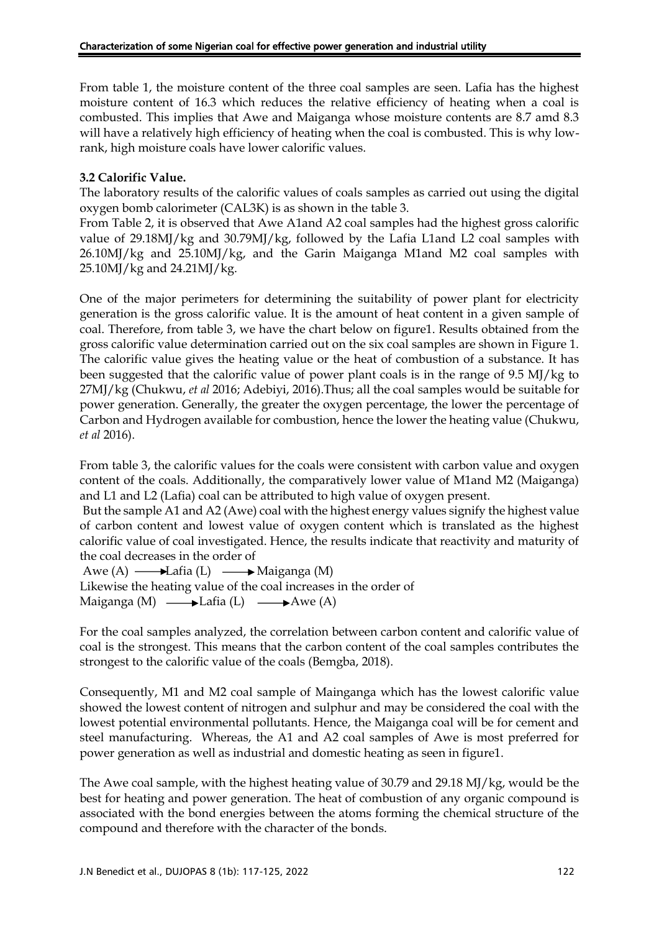From table 1, the moisture content of the three coal samples are seen. Lafia has the highest moisture content of 16.3 which reduces the relative efficiency of heating when a coal is combusted. This implies that Awe and Maiganga whose moisture contents are 8.7 amd 8.3 will have a relatively high efficiency of heating when the coal is combusted. This is why lowrank, high moisture coals have lower calorific values.

# **3.2 Calorific Value.**

The laboratory results of the calorific values of coals samples as carried out using the digital oxygen bomb calorimeter (CAL3K) is as shown in the table 3.

From Table 2, it is observed that Awe A1and A2 coal samples had the highest gross calorific value of 29.18MJ/kg and 30.79MJ/kg, followed by the Lafia L1and L2 coal samples with 26.10MJ/kg and 25.10MJ/kg, and the Garin Maiganga M1and M2 coal samples with 25.10MJ/kg and 24.21MJ/kg.

One of the major perimeters for determining the suitability of power plant for electricity generation is the gross calorific value. It is the amount of heat content in a given sample of coal. Therefore, from table 3, we have the chart below on figure1. Results obtained from the gross calorific value determination carried out on the six coal samples are shown in Figure 1. The calorific value gives the heating value or the heat of combustion of a substance. It has been suggested that the calorific value of power plant coals is in the range of  $9.5 \text{ MI/kg}$  to 27MJ/kg (Chukwu, *et al* 2016; Adebiyi, 2016).Thus; all the coal samples would be suitable for power generation. Generally, the greater the oxygen percentage, the lower the percentage of Carbon and Hydrogen available for combustion, hence the lower the heating value (Chukwu, *et al* 2016).

From table 3, the calorific values for the coals were consistent with carbon value and oxygen content of the coals. Additionally, the comparatively lower value of M1and M2 (Maiganga) and L1 and L2 (Lafia) coal can be attributed to high value of oxygen present.

But the sample A1 and A2 (Awe) coal with the highest energy values signify the highest value of carbon content and lowest value of oxygen content which is translated as the highest calorific value of coal investigated. Hence, the results indicate that reactivity and maturity of the coal decreases in the order of

Awe  $(A) \longrightarrow$ Lafia (L)  $\longrightarrow$ Maiganga (M) Likewise the heating value of the coal increases in the order of Maiganga (M)  $\longrightarrow$  Lafia (L)  $\longrightarrow$  Awe (A)

For the coal samples analyzed, the correlation between carbon content and calorific value of coal is the strongest. This means that the carbon content of the coal samples contributes the strongest to the calorific value of the coals (Bemgba, 2018).

Consequently, M1 and M2 coal sample of Mainganga which has the lowest calorific value showed the lowest content of nitrogen and sulphur and may be considered the coal with the lowest potential environmental pollutants. Hence, the Maiganga coal will be for cement and steel manufacturing. Whereas, the A1 and A2 coal samples of Awe is most preferred for power generation as well as industrial and domestic heating as seen in figure1.

The Awe coal sample, with the highest heating value of 30.79 and 29.18 MJ/kg, would be the best for heating and power generation. The heat of combustion of any organic compound is associated with the bond energies between the atoms forming the chemical structure of the compound and therefore with the character of the bonds.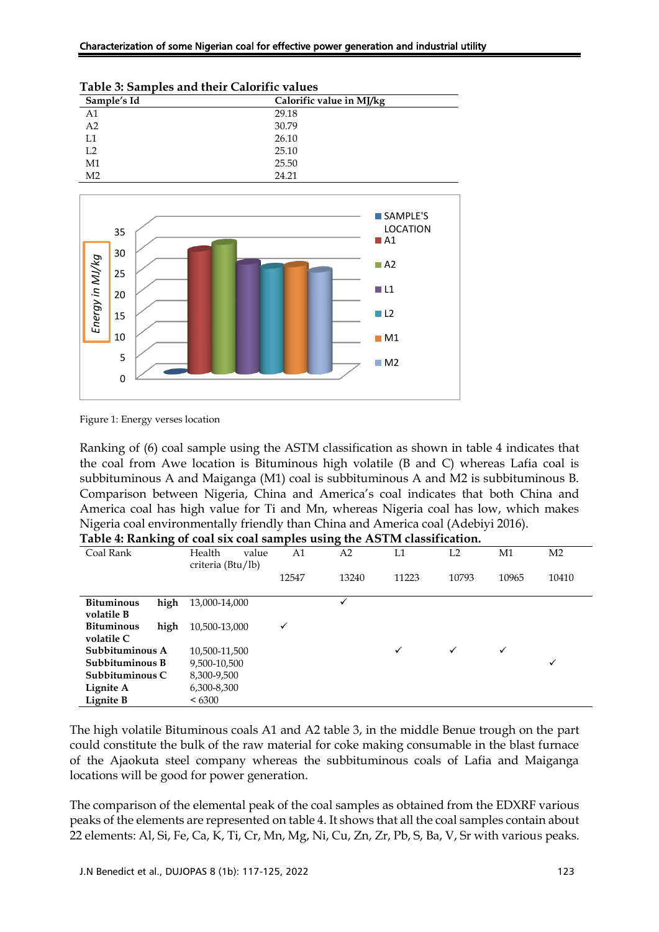| Characterization of some Nigerian coal for effective power generation and industrial utility |  |  |
|----------------------------------------------------------------------------------------------|--|--|
|----------------------------------------------------------------------------------------------|--|--|

| Table 9. Banipies and their Calbrille values |                          |  |
|----------------------------------------------|--------------------------|--|
| Sample's Id                                  | Calorific value in MJ/kg |  |
| A1                                           | 29.18                    |  |
| A <sub>2</sub>                               | 30.79                    |  |
| L1                                           | 26.10                    |  |
| L2                                           | 25.10                    |  |
| M1                                           | 25.50                    |  |
| M <sub>2</sub>                               | 24.21                    |  |

#### **Table 3: Samples and their Calorific values**



Figure 1: Energy verses location

Ranking of (6) coal sample using the ASTM classification as shown in table 4 indicates that the coal from Awe location is Bituminous high volatile (B and C) whereas Lafia coal is subbituminous A and Maiganga (M1) coal is subbituminous A and M2 is subbituminous B. Comparison between Nigeria, China and America's coal indicates that both China and America coal has high value for Ti and Mn, whereas Nigeria coal has low, which makes Nigeria coal environmentally friendly than China and America coal (Adebiyi 2016). **Table 4: Ranking of coal six coal samples using the ASTM classification.**

| Table 4. Kanking of Coal SIX Coal Samples using the ASTIM Classification. |                   |       |       |       |       |       |                |
|---------------------------------------------------------------------------|-------------------|-------|-------|-------|-------|-------|----------------|
| Coal Rank                                                                 | Health<br>value   | A1    | A2    | L1    | L2    | M1    | M <sub>2</sub> |
|                                                                           | criteria (Btu/lb) |       |       |       |       |       |                |
|                                                                           |                   | 12547 | 13240 | 11223 | 10793 | 10965 | 10410          |
|                                                                           |                   |       |       |       |       |       |                |
| high<br><b>Bituminous</b>                                                 | 13,000-14,000     |       | ✓     |       |       |       |                |
| volatile B                                                                |                   |       |       |       |       |       |                |
| <b>Bituminous</b><br>high                                                 | 10,500-13,000     | ✓     |       |       |       |       |                |
| volatile C                                                                |                   |       |       |       |       |       |                |
| Subbituminous A                                                           | 10,500-11,500     |       |       | ✓     | ✓     | ✓     |                |
| Subbituminous B                                                           | 9,500-10,500      |       |       |       |       |       | $\checkmark$   |
| Subbituminous C                                                           | 8.300-9.500       |       |       |       |       |       |                |
| Lignite A                                                                 | 6,300-8,300       |       |       |       |       |       |                |
| Lignite B                                                                 | <6300             |       |       |       |       |       |                |

The high volatile Bituminous coals A1 and A2 table 3, in the middle Benue trough on the part could constitute the bulk of the raw material for coke making consumable in the blast furnace of the Ajaokuta steel company whereas the subbituminous coals of Lafia and Maiganga locations will be good for power generation.

The comparison of the elemental peak of the coal samples as obtained from the EDXRF various peaks of the elements are represented on table 4. It shows that all the coal samples contain about 22 elements: Al, Si, Fe, Ca, K, Ti, Cr, Mn, Mg, Ni, Cu, Zn, Zr, Pb, S, Ba, V, Sr with various peaks.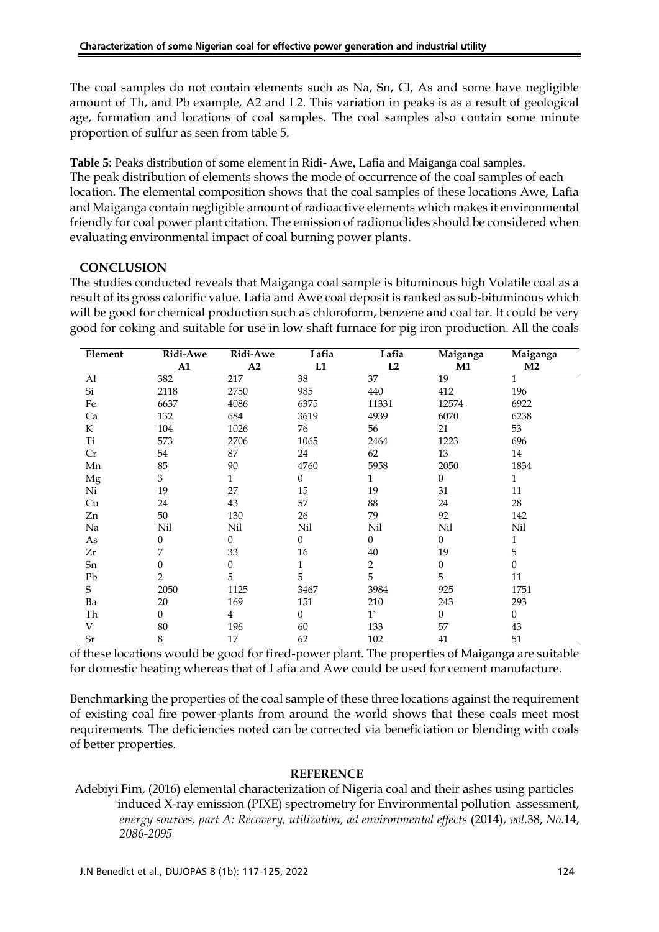The coal samples do not contain elements such as Na, Sn, Cl, As and some have negligible amount of Th, and Pb example, A2 and L2. This variation in peaks is as a result of geological age, formation and locations of coal samples. The coal samples also contain some minute proportion of sulfur as seen from table 5.

**Table 5**: Peaks distribution of some element in Ridi- Awe, Lafia and Maiganga coal samples. The peak distribution of elements shows the mode of occurrence of the coal samples of each location. The elemental composition shows that the coal samples of these locations Awe, Lafia and Maiganga contain negligible amount of radioactive elements which makes it environmental friendly for coal power plant citation. The emission of radionuclides should be considered when evaluating environmental impact of coal burning power plants.

# **CONCLUSION**

The studies conducted reveals that Maiganga coal sample is bituminous high Volatile coal as a result of its gross calorific value. Lafia and Awe coal deposit is ranked as sub-bituminous which will be good for chemical production such as chloroform, benzene and coal tar. It could be very good for coking and suitable for use in low shaft furnace for pig iron production. All the coals

| Element | Ridi-Awe         | Ridi-Awe       | Lafia    | Lafia        | Maiganga         | Maiganga       |
|---------|------------------|----------------|----------|--------------|------------------|----------------|
|         | A1               | A2             | L1       | L2           | M1               | M <sub>2</sub> |
| Al      | 382              | 217            | 38       | 37           | 19               | $\mathbf{1}$   |
| Si      | 2118             | 2750           | 985      | 440          | 412              | 196            |
| Fe      | 6637             | 4086           | 6375     | 11331        | 12574            | 6922           |
| Ca      | 132              | 684            | 3619     | 4939         | 6070             | 6238           |
| K       | 104              | 1026           | 76       | 56           | 21               | 53             |
| Ti      | 573              | 2706           | 1065     | 2464         | 1223             | 696            |
| Cr      | 54               | 87             | 24       | 62           | 13               | 14             |
| Mn      | 85               | 90             | 4760     | 5958         | 2050             | 1834           |
| Mg      | 3                | $\mathbf{1}$   | $\Omega$ | $\mathbf{1}$ | $\theta$         | $\mathbf{1}$   |
| Ni      | 19               | 27             | 15       | 19           | 31               | 11             |
| Cu      | 24               | 43             | 57       | 88           | 24               | 28             |
| Zn      | 50               | 130            | 26       | 79           | 92               | 142            |
| Na      | Nil              | Nil            | Nil      | Nil          | Nil              | Nil            |
| As      | $\boldsymbol{0}$ | $\theta$       | $\Omega$ | $\theta$     | $\overline{0}$   | 1              |
| Zr      | 7                | 33             | 16       | $40\,$       | 19               | 5              |
| Sn      | $\overline{0}$   | 0              | 1        | 2            | $\boldsymbol{0}$ | $\theta$       |
| Pb      | $\overline{2}$   | 5              | 5        | 5            | 5                | 11             |
| S       | 2050             | 1125           | 3467     | 3984         | 925              | 1751           |
| Ba      | 20               | 169            | 151      | 210          | 243              | 293            |
| Th      | $\theta$         | $\overline{4}$ | $\Omega$ | $1^{\circ}$  | $\theta$         | $\Omega$       |
| V       | 80               | 196            | 60       | 133          | 57               | 43             |
| Sr      | 8                | $17\,$         | 62       | 102          | 41               | 51             |

of these locations would be good for fired-power plant. The properties of Maiganga are suitable for domestic heating whereas that of Lafia and Awe could be used for cement manufacture.

Benchmarking the properties of the coal sample of these three locations against the requirement of existing coal fire power-plants from around the world shows that these coals meet most requirements. The deficiencies noted can be corrected via beneficiation or blending with coals of better properties.

### **REFERENCE**

Adebiyi Fim, (2016) elemental characterization of Nigeria coal and their ashes using particles induced X-ray emission (PIXE) spectrometry for Environmental pollution assessment, *energy sources, part A: Recovery, utilization, ad environmental effects* (2014), *vol.*38, *No.*14, *2086-2095*